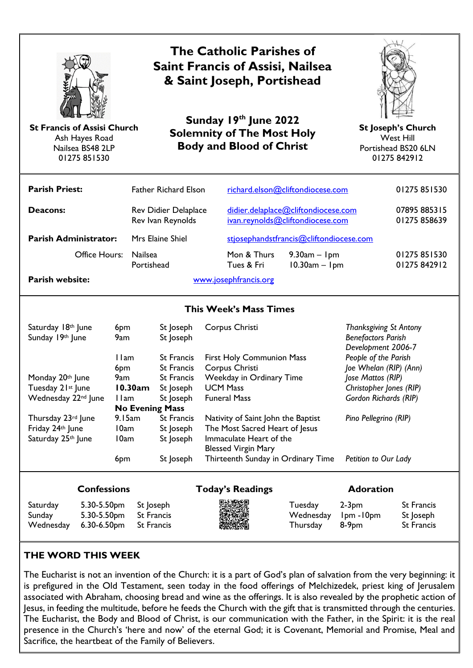

Ash Hayes Road Nailsea BS48 2LP 01275 851530

# **The Catholic Parishes of Saint Francis of Assisi, Nailsea & Saint Joseph, Portishead**

**Sunday 19 th June 2022 Solemnity of The Most Holy Body and Blood of Christ St Francis of Assisi Church St Joseph's Church**



West Hill Portishead BS20 6LN 01275 842912

| <b>Parish Priest:</b>        | <b>Father Richard Elson</b>                      |                                                                         | richard.elson@cliftondiocese.com      | 01275 851530                 |
|------------------------------|--------------------------------------------------|-------------------------------------------------------------------------|---------------------------------------|------------------------------|
| Deacons:                     | <b>Rev Didier Delaplace</b><br>Rev Ivan Reynolds | didier.delaplace@cliftondiocese.com<br>ivan.reynolds@cliftondiocese.com |                                       | 07895 885315<br>01275858639  |
| <b>Parish Administrator:</b> | Mrs Elaine Shiel                                 | stjosephandstfrancis@cliftondiocese.com                                 |                                       |                              |
| Office Hours:                | <b>Nailsea</b><br>Portishead                     | Mon & Thurs<br>Tues & Fri                                               | $9.30$ am – $1$ pm<br>$10.30am - 1pm$ | 01275 851530<br>01275 842912 |
| Parish website:              | www.josephfrancis.org                            |                                                                         |                                       |                              |

#### **This Week's Mass Times**

| Saturday 18th June<br>Sunday 19th June | 6 <sub>pm</sub><br>9am | St Joseph<br>St Joseph | Corpus Christi                     | <b>Thanksgiving St Antony</b><br><b>Benefactors Parish</b><br>Development 2006-7 |
|----------------------------------------|------------------------|------------------------|------------------------------------|----------------------------------------------------------------------------------|
|                                        | 1 I am                 | <b>St Francis</b>      | <b>First Holy Communion Mass</b>   | People of the Parish                                                             |
|                                        | 6pm                    | <b>St Francis</b>      | Corpus Christi                     | Joe Whelan (RIP) (Ann)                                                           |
| Monday 20th June                       | 9am                    | <b>St Francis</b>      | Weekday in Ordinary Time           | Jose Mattos (RIP)                                                                |
| Tuesday 21st June                      | 10.30am                | St Joseph              | <b>UCM Mass</b>                    | Christopher Jones (RIP)                                                          |
| Wednesday 22 <sup>nd</sup> June        | 1 I am                 | St Joseph              | <b>Funeral Mass</b>                | Gordon Richards (RIP)                                                            |
| <b>No Evening Mass</b>                 |                        |                        |                                    |                                                                                  |
| Thursday 23rd June                     | 9.15am                 | <b>St Francis</b>      | Nativity of Saint John the Baptist | Pino Pellegrino (RIP)                                                            |
| Friday 24th June                       | 10am                   | St Joseph              | The Most Sacred Heart of Jesus     |                                                                                  |
| Saturday 25th June                     | 10am                   | St Joseph              | Immaculate Heart of the            |                                                                                  |
|                                        |                        |                        | <b>Blessed Virgin Mary</b>         |                                                                                  |
|                                        | 6pm                    | St Joseph              | Thirteenth Sunday in Ordinary Time | Petition to Our Lady                                                             |

Saturday 5.30-5.50pm St Joseph Tuesday 2-3pm St Francis Sunday 5.30-5.50pm St Francis Wednesday 1pm -10pm St Joseph Wednesday 6.30-6.50pm St Francis Thursday 8-9pm St Francis

#### **Confessions Today's Readings Adoration**



#### **THE WORD THIS WEEK**

The Eucharist is not an invention of the Church: it is a part of God's plan of salvation from the very beginning: it is prefigured in the Old Testament, seen today in the food offerings of Melchizedek, priest king of Jerusalem associated with Abraham, choosing bread and wine as the offerings. It is also revealed by the prophetic action of Jesus, in feeding the multitude, before he feeds the Church with the gift that is transmitted through the centuries. The Eucharist, the Body and Blood of Christ, is our communication with the Father, in the Spirit: it is the real presence in the Church's 'here and now' of the eternal God; it is Covenant, Memorial and Promise, Meal and Sacrifice, the heartbeat of the Family of Believers.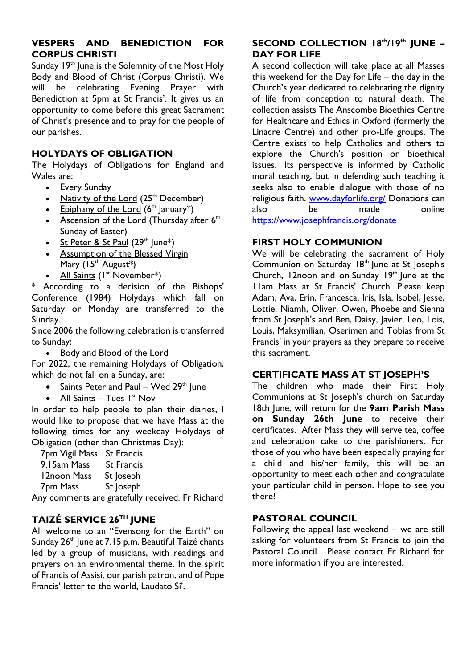#### **VESPERS AND BENEDICTION FOR CORPUS CHRISTI**

Sunday 19<sup>th</sup> June is the Solemnity of the Most Holy Body and Blood of Christ (Corpus Christi). We will be celebrating Evening Prayer with Benediction at 5pm at St Francis'. It gives us an opportunity to come before this great Sacrament of Christ's presence and to pray for the people of our parishes.

#### **HOLYDAYS OF OBLIGATION**

The Holydays of Obligations for England and Wales are:

- Every Sunday
- [Nativity](https://eur02.safelinks.protection.outlook.com/?url=https%3A%2F%2Fwww.liturgyoffice.org.uk%2FCalendar%2FSunday%2FChristmasSunday.shtml%23Nativity&data=05%7C01%7Cstjosephandstfrancis%40Cliftondiocese.com%7C82e69f653b904df4875008da494450d5%7Cf10b8f13604e4fa29e1204a7fad22e94%7C0%7C0%7C637902855417726258%7CUnknown%7CTWFpbGZsb3d8eyJWIjoiMC4wLjAwMDAiLCJQIjoiV2luMzIiLCJBTiI6Ik1haWwiLCJXVCI6Mn0%3D%7C3000%7C%7C%7C&sdata=3HLIOJv6Mj598rmCkLFBDtK43wI2LJ6Kq5wh8UWipBM%3D&reserved=0) of the Lord  $(25<sup>th</sup>$  December)
- [Epiphany](https://eur02.safelinks.protection.outlook.com/?url=https%3A%2F%2Fwww.liturgyoffice.org.uk%2FCalendar%2FSunday%2FChristmasSunday.shtml%23Epiphany&data=05%7C01%7Cstjosephandstfrancis%40Cliftondiocese.com%7C82e69f653b904df4875008da494450d5%7Cf10b8f13604e4fa29e1204a7fad22e94%7C0%7C0%7C637902855417726258%7CUnknown%7CTWFpbGZsb3d8eyJWIjoiMC4wLjAwMDAiLCJQIjoiV2luMzIiLCJBTiI6Ik1haWwiLCJXVCI6Mn0%3D%7C3000%7C%7C%7C&sdata=M%2B%2FgfjZrZ%2FFyeqetYMvSVxEpTofkBQmWbMN3AsnM8YA%3D&reserved=0) of the Lord  $(6<sup>th</sup>$  January<sup>\*</sup>)
- [Ascension](https://eur02.safelinks.protection.outlook.com/?url=https%3A%2F%2Fwww.liturgyoffice.org.uk%2FCalendar%2FSunday%2FEasterSunday.shtml%23Ascension&data=05%7C01%7Cstjosephandstfrancis%40Cliftondiocese.com%7C82e69f653b904df4875008da494450d5%7Cf10b8f13604e4fa29e1204a7fad22e94%7C0%7C0%7C637902855417726258%7CUnknown%7CTWFpbGZsb3d8eyJWIjoiMC4wLjAwMDAiLCJQIjoiV2luMzIiLCJBTiI6Ik1haWwiLCJXVCI6Mn0%3D%7C3000%7C%7C%7C&sdata=obF99KinnYvXZ9ijk3NonDkFja%2B3O4rFOE50LXbkQU8%3D&reserved=0) of the Lord (Thursday after  $6<sup>th</sup>$ Sunday of Easter)
- St [Peter](https://eur02.safelinks.protection.outlook.com/?url=https%3A%2F%2Fwww.liturgyoffice.org.uk%2FCalendar%2FSunday%2FOT2Solemnities.shtml%23PeterPaul&data=05%7C01%7Cstjosephandstfrancis%40Cliftondiocese.com%7C82e69f653b904df4875008da494450d5%7Cf10b8f13604e4fa29e1204a7fad22e94%7C0%7C0%7C637902855417726258%7CUnknown%7CTWFpbGZsb3d8eyJWIjoiMC4wLjAwMDAiLCJQIjoiV2luMzIiLCJBTiI6Ik1haWwiLCJXVCI6Mn0%3D%7C3000%7C%7C%7C&sdata=wrk61zPzW226N%2Bc4DGMz2Zw0jqtEa9WE9Z8KcvEpZBE%3D&reserved=0) & St Paul  $(29<sup>th</sup>$  June<sup>\*</sup>)
- [Assumption](https://eur02.safelinks.protection.outlook.com/?url=https%3A%2F%2Fwww.liturgyoffice.org.uk%2FCalendar%2FSunday%2FOT2Solemnities.shtml%23Assumption&data=05%7C01%7Cstjosephandstfrancis%40Cliftondiocese.com%7C82e69f653b904df4875008da494450d5%7Cf10b8f13604e4fa29e1204a7fad22e94%7C0%7C0%7C637902855417726258%7CUnknown%7CTWFpbGZsb3d8eyJWIjoiMC4wLjAwMDAiLCJQIjoiV2luMzIiLCJBTiI6Ik1haWwiLCJXVCI6Mn0%3D%7C3000%7C%7C%7C&sdata=uMGmNNoLCqrfntlhspstP6p8v88WRxpaeZyi7IABT8w%3D&reserved=0) of the Blessed Virgin [Mary](https://eur02.safelinks.protection.outlook.com/?url=https%3A%2F%2Fwww.liturgyoffice.org.uk%2FCalendar%2FSunday%2FOT2Solemnities.shtml%23Assumption&data=05%7C01%7Cstjosephandstfrancis%40Cliftondiocese.com%7C82e69f653b904df4875008da494450d5%7Cf10b8f13604e4fa29e1204a7fad22e94%7C0%7C0%7C637902855417726258%7CUnknown%7CTWFpbGZsb3d8eyJWIjoiMC4wLjAwMDAiLCJQIjoiV2luMzIiLCJBTiI6Ik1haWwiLCJXVCI6Mn0%3D%7C3000%7C%7C%7C&sdata=uMGmNNoLCqrfntlhspstP6p8v88WRxpaeZyi7IABT8w%3D&reserved=0)  $(15<sup>th</sup>$  August<sup>\*</sup>)
- All [Saints](https://eur02.safelinks.protection.outlook.com/?url=https%3A%2F%2Fwww.liturgyoffice.org.uk%2FCalendar%2FSunday%2FOT2Solemnities.shtml%23AllSaints&data=05%7C01%7Cstjosephandstfrancis%40Cliftondiocese.com%7C82e69f653b904df4875008da494450d5%7Cf10b8f13604e4fa29e1204a7fad22e94%7C0%7C0%7C637902855417726258%7CUnknown%7CTWFpbGZsb3d8eyJWIjoiMC4wLjAwMDAiLCJQIjoiV2luMzIiLCJBTiI6Ik1haWwiLCJXVCI6Mn0%3D%7C3000%7C%7C%7C&sdata=UZQpF7BgaLhPXDMIgqXjy3eth%2B5vDzZfen80zfsPNFk%3D&reserved=0)  $(I^{\text{st}}$  November\*)

\* According to a decision of the Bishops' Conference (1984) Holydays which fall on Saturday or Monday are transferred to the Sunday.

Since 2006 the following celebration is transferred to Sunday:

• Body and [Blood](https://eur02.safelinks.protection.outlook.com/?url=https%3A%2F%2Fwww.liturgyoffice.org.uk%2FCalendar%2FSunday%2FOT2Solemnities.shtml%23Corpus&data=05%7C01%7Cstjosephandstfrancis%40Cliftondiocese.com%7C82e69f653b904df4875008da494450d5%7Cf10b8f13604e4fa29e1204a7fad22e94%7C0%7C0%7C637902855417726258%7CUnknown%7CTWFpbGZsb3d8eyJWIjoiMC4wLjAwMDAiLCJQIjoiV2luMzIiLCJBTiI6Ik1haWwiLCJXVCI6Mn0%3D%7C3000%7C%7C%7C&sdata=F80sdfZ02nXKgy89oMDRO0cQpJVx59dN8kmDmlOzbdM%3D&reserved=0) of the Lord

For 2022, the remaining Holydays of Obligation, which do not fall on a Sunday, are:

- Saints Peter and Paul Wed  $29<sup>th</sup>$  June
- All Saints Tues  $I<sup>st</sup>$  Nov

In order to help people to plan their diaries, I would like to propose that we have Mass at the following times for any weekday Holydays of Obligation (other than Christmas Day):

| 7pm Vigil Mass | <b>St Francis</b> |  |
|----------------|-------------------|--|
| 9.15am Mass    | <b>St Francis</b> |  |
| 12noon Mass    | St Joseph         |  |
| 7pm Mass       | St Joseph         |  |
|                |                   |  |

Any comments are gratefully received. Fr Richard

### **TAIZÉ SERVICE 26TH JUNE**

All welcome to an "Evensong for the Earth" on Sunday 26<sup>th</sup> June at 7.15 p.m. Beautiful Taizé chants led by a group of musicians, with readings and prayers on an environmental theme. In the spirit of Francis of Assisi, our parish patron, and of Pope Francis' letter to the world, Laudato Si'.

#### **SECOND COLLECTION 18th/19th JUNE – DAY FOR LIFE**

A second collection will take place at all Masses this weekend for the Day for Life – the day in the Church's year dedicated to celebrating the dignity of life from conception to natural death. The collection assists The Anscombe Bioethics Centre for Healthcare and Ethics in Oxford (formerly the Linacre Centre) and other pro-Life groups. The Centre exists to help Catholics and others to explore the Church's position on bioethical issues. Its perspective is informed by Catholic moral teaching, but in defending such teaching it seeks also to enable dialogue with those of no religious faith. [www.dayforlife.org/](https://eur02.safelinks.protection.outlook.com/?url=http%3A%2F%2Fwww.dayforlife.org%2F&data=05%7C01%7Cstjosephandstfrancis%40Cliftondiocese.com%7C82e69f653b904df4875008da494450d5%7Cf10b8f13604e4fa29e1204a7fad22e94%7C0%7C0%7C637902855417726258%7CUnknown%7CTWFpbGZsb3d8eyJWIjoiMC4wLjAwMDAiLCJQIjoiV2luMzIiLCJBTiI6Ik1haWwiLCJXVCI6Mn0%3D%7C3000%7C%7C%7C&sdata=DRHoYxf039%2FmtGF0H4vwEFGXa2fB0KOvlJymZbZGOxg%3D&reserved=0) Donations can also be made online [https://www.josephfrancis.org/donate](https://eur02.safelinks.protection.outlook.com/?url=https%3A%2F%2Fwww.josephfrancis.org%2Fdonate&data=05%7C01%7Cstjosephandstfrancis%40Cliftondiocese.com%7C82e69f653b904df4875008da494450d5%7Cf10b8f13604e4fa29e1204a7fad22e94%7C0%7C0%7C637902855417726258%7CUnknown%7CTWFpbGZsb3d8eyJWIjoiMC4wLjAwMDAiLCJQIjoiV2luMzIiLCJBTiI6Ik1haWwiLCJXVCI6Mn0%3D%7C3000%7C%7C%7C&sdata=ZurBW6tw%2FZM4%2Bu0%2B4ECXa924h5zEEbtf5vafcykV9xE%3D&reserved=0)

#### **FIRST HOLY COMMUNION**

We will be celebrating the sacrament of Holy Communion on Saturday 18<sup>th</sup> June at St Joseph's Church, 12noon and on Sunday  $19<sup>th</sup>$  lune at the 11am Mass at St Francis' Church. Please keep Adam, Ava, Erin, Francesca, Iris, Isla, Isobel, Jesse, Lottie, Niamh, Oliver, Owen, Phoebe and Sienna from St Joseph's and Ben, Daisy, Javier, Leo, Lois, Louis, Maksymilian, Oserimen and Tobias from St Francis' in your prayers as they prepare to receive this sacrament.

#### **CERTIFICATE MASS AT ST JOSEPH'S**

The children who made their First Holy Communions at St Joseph's church on Saturday 18th June, will return for the **9am Parish Mass on Sunday 26th June** to receive their certificates. After Mass they will serve tea, coffee and celebration cake to the parishioners. For those of you who have been especially praying for a child and his/her family, this will be an opportunity to meet each other and congratulate your particular child in person. Hope to see you there!

#### **PASTORAL COUNCIL**

Following the appeal last weekend – we are still asking for volunteers from St Francis to join the Pastoral Council. Please contact Fr Richard for more information if you are interested.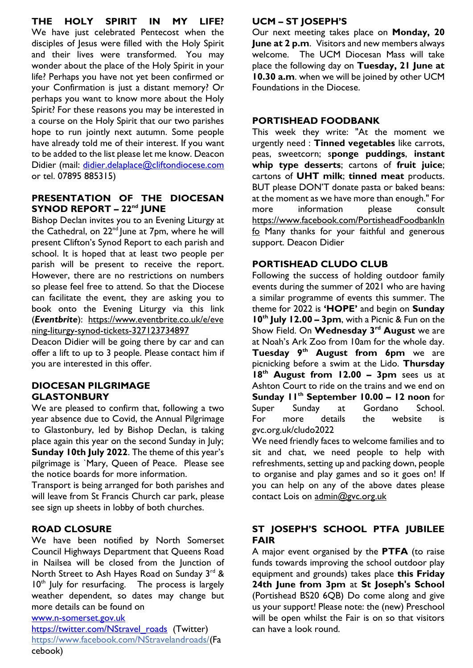**THE HOLY SPIRIT IN MY LIFE?** We have just celebrated Pentecost when the disciples of Jesus were filled with the Holy Spirit and their lives were transformed. You may wonder about the place of the Holy Spirit in your life? Perhaps you have not yet been confirmed or your Confirmation is just a distant memory? Or perhaps you want to know more about the Holy Spirit? For these reasons you may be interested in a course on the Holy Spirit that our two parishes hope to run jointly next autumn. Some people have already told me of their interest. If you want to be added to the list please let me know. Deacon Didier (mail: [didier.delaplace@cliftondiocese.com](mailto:didier.delaplace@cliftondiocese.com) or tel. 07895 885315)

#### **PRESENTATION OF THE DIOCESAN SYNOD REPORT – 22nd JUNE**

Bishop Declan invites you to an Evening Liturgy at the Cathedral, on 22<sup>nd</sup> June at 7pm, where he will present Clifton's Synod Report to each parish and school. It is hoped that at least two people per parish will be present to receive the report. However, there are no restrictions on numbers so please feel free to attend. So that the Diocese can facilitate the event, they are asking you to book onto the Evening Liturgy via this link (*Eventbrite*): [https://www.eventbrite.co.uk/e/eve](https://eur02.safelinks.protection.outlook.com/?url=https%3A%2F%2Fwww.eventbrite.co.uk%2Fe%2Fevening-liturgy-synod-tickets-327123734897&data=05%7C01%7Cstjosephandstfrancis%40Cliftondiocese.com%7C82e69f653b904df4875008da494450d5%7Cf10b8f13604e4fa29e1204a7fad22e94%7C0%7C0%7C637902855417726258%7CUnknown%7CTWFpbGZsb3d8eyJWIjoiMC4wLjAwMDAiLCJQIjoiV2luMzIiLCJBTiI6Ik1haWwiLCJXVCI6Mn0%3D%7C3000%7C%7C%7C&sdata=R94PVBnHW31Tf2GPQ8B47fN4%2Fr9yreVN62O8BNqD6vA%3D&reserved=0) [ning-liturgy-synod-tickets-327123734897](https://eur02.safelinks.protection.outlook.com/?url=https%3A%2F%2Fwww.eventbrite.co.uk%2Fe%2Fevening-liturgy-synod-tickets-327123734897&data=05%7C01%7Cstjosephandstfrancis%40Cliftondiocese.com%7C82e69f653b904df4875008da494450d5%7Cf10b8f13604e4fa29e1204a7fad22e94%7C0%7C0%7C637902855417726258%7CUnknown%7CTWFpbGZsb3d8eyJWIjoiMC4wLjAwMDAiLCJQIjoiV2luMzIiLCJBTiI6Ik1haWwiLCJXVCI6Mn0%3D%7C3000%7C%7C%7C&sdata=R94PVBnHW31Tf2GPQ8B47fN4%2Fr9yreVN62O8BNqD6vA%3D&reserved=0)

Deacon Didier will be going there by car and can offer a lift to up to 3 people. Please contact him if you are interested in this offer.

#### **DIOCESAN PILGRIMAGE GLASTONBURY**

We are pleased to confirm that, following a two year absence due to Covid, the Annual Pilgrimage to Glastonbury, led by Bishop Declan, is taking place again this year on the second Sunday in July; **Sunday 10th July 2022**. The theme of this year's pilgrimage is `Mary, Queen of Peace. Please see the notice boards for more information.

Transport is being arranged for both parishes and will leave from St Francis Church car park, please see sign up sheets in lobby of both churches.

#### **ROAD CLOSURE**

We have been notified by North Somerset Council Highways Department that Queens Road in Nailsea will be closed from the Junction of North Street to Ash Hayes Road on Sunday 3rd &  $10<sup>th</sup>$  July for resurfacing. The process is largely weather dependent, so dates may change but more details can be found on

#### [www.n-somerset.gov.uk](http://www.n-somerset.gov.uk/)

[https://twitter.com/NStravel\\_roads](https://twitter.com/NStravel_roads) (Twitter) [https://www.facebook.com/NStravelandroads/\(](https://eur02.safelinks.protection.outlook.com/?url=https%3A%2F%2Fwww.facebook.com%2FNStravelandroads%2F&data=05%7C01%7Cstjosephandstfrancis%40cliftondiocese.com%7C0774e9ca6c3a45a35f9b08da49663481%7Cf10b8f13604e4fa29e1204a7fad22e94%7C0%7C1%7C637903000595081713%7CUnknown%7CTWFpbGZsb3d8eyJWIjoiMC4wLjAwMDAiLCJQIjoiV2luMzIiLCJBTiI6Ik1haWwiLCJXVCI6Mn0%3D%7C0%7C%7C%7C&sdata=RdWnnjjb%2Blo%2B9PmjsvhkflSERq0oX35HySTt0VxL80E%3D&reserved=0)Fa cebook)

#### **UCM – ST JOSEPH'S**

Our next meeting takes place on **Monday, 20 June at 2 p.m**. Visitors and new members always welcome. The UCM Diocesan Mass will take place the following day on **Tuesday, 21 June at 10.30 a.m**. when we will be joined by other UCM Foundations in the Diocese.

#### **PORTISHEAD FOODBANK**

This week they write: "At the moment we urgently need : **Tinned vegetables** like carrots, peas, sweetcorn; s**ponge puddings**, **instant whip type desserts**; cartons of **fruit juice**; cartons of **UHT milk**; **tinned meat** products. BUT please DON'T donate pasta or baked beans: at the moment as we have more than enough." For more information please consult [https://www.facebook.com/PortisheadFoodbankIn](https://eur02.safelinks.protection.outlook.com/?url=https%3A%2F%2Fwww.facebook.com%2FPortisheadFoodbankInfo&data=05%7C01%7Cstjosephandstfrancis%40cliftondiocese.com%7C1c986c40393c4fa27f3108da4f7c490c%7Cf10b8f13604e4fa29e1204a7fad22e94%7C0%7C0%7C637909692455352281%7CUnknown%7CTWFpbGZsb3d8eyJWIjoiMC4wLjAwMDAiLCJQIjoiV2luMzIiLCJBTiI6Ik1haWwiLCJXVCI6Mn0%3D%7C3000%7C%7C%7C&sdata=ZuJhFjE5jISW%2F06oYRSOTeUTdFhGnv9EXLnPwrat5dk%3D&reserved=0) [fo](https://eur02.safelinks.protection.outlook.com/?url=https%3A%2F%2Fwww.facebook.com%2FPortisheadFoodbankInfo&data=05%7C01%7Cstjosephandstfrancis%40cliftondiocese.com%7C1c986c40393c4fa27f3108da4f7c490c%7Cf10b8f13604e4fa29e1204a7fad22e94%7C0%7C0%7C637909692455352281%7CUnknown%7CTWFpbGZsb3d8eyJWIjoiMC4wLjAwMDAiLCJQIjoiV2luMzIiLCJBTiI6Ik1haWwiLCJXVCI6Mn0%3D%7C3000%7C%7C%7C&sdata=ZuJhFjE5jISW%2F06oYRSOTeUTdFhGnv9EXLnPwrat5dk%3D&reserved=0) Many thanks for your faithful and generous support. Deacon Didier

#### **PORTISHEAD CLUDO CLUB**

Following the success of holding outdoor family events during the summer of 2021 who are having a similar programme of events this summer. The theme for 2022 is **'HOPE'** and begin on **Sunday 10th July 12.00 – 3pm**, with a Picnic & Fun on the Show Field. On **Wednesday 3rd August** we are at Noah's Ark Zoo from 10am for the whole day. **Tuesday 9th August from 6pm** we are picnicking before a swim at the Lido. **Thursday 18th August from 12.00 – 3pm** sees us at Ashton Court to ride on the trains and we end on **Sunday 11th September 10.00 – 12 noon** for Super Sunday at Gordano School. For more details the website is gvc.org.uk/cludo2022

We need friendly faces to welcome families and to sit and chat, we need people to help with refreshments, setting up and packing down, people to organise and play games and so it goes on! If you can help on any of the above dates please contact Lois on [admin@gvc.org.uk](mailto:admin@gvc.org.uk)

#### **ST JOSEPH'S SCHOOL PTFA JUBILEE FAIR**

A major event organised by the **PTFA** (to raise funds towards improving the school outdoor play equipment and grounds) takes place **this Friday 24th June from 3pm** at **St Joseph's School** (Portishead BS20 6QB) Do come along and give us your support! Please note: the (new) Preschool will be open whilst the Fair is on so that visitors can have a look round.